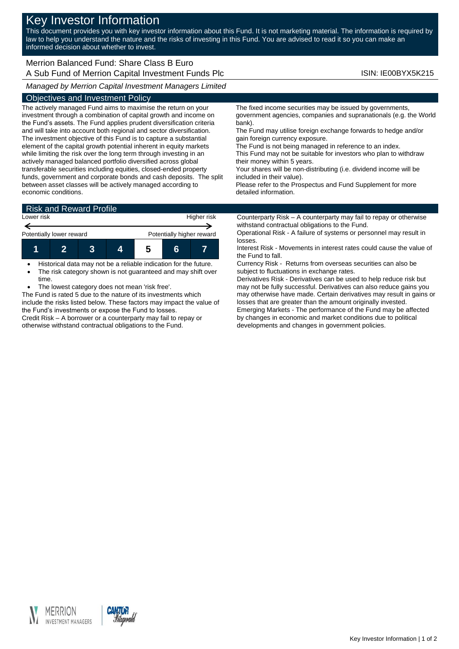# Key Investor Information

This document provides you with key investor information about this Fund. It is not marketing material. The information is required by law to help you understand the nature and the risks of investing in this Fund. You are advised to read it so you can make an informed decision about whether to invest.

### Merrion Balanced Fund: Share Class B Euro A Sub Fund of Merrion Capital Investment Funds Plc **Internal Constructs** ISIN: IE00BYX5K215

*Managed by Merrion Capital Investment Managers Limited*

#### Objectives and Investment Policy

The actively managed Fund aims to maximise the return on your investment through a combination of capital growth and income on the Fund's assets. The Fund applies prudent diversification criteria and will take into account both regional and sector diversification. The investment objective of this Fund is to capture a substantial element of the capital growth potential inherent in equity markets while limiting the risk over the long term through investing in an actively managed balanced portfolio diversified across global transferable securities including equities, closed-ended property funds, government and corporate bonds and cash deposits. The split between asset classes will be actively managed according to economic conditions.

The fixed income securities may be issued by governments, government agencies, companies and supranationals (e.g. the World bank).

The Fund may utilise foreign exchange forwards to hedge and/or gain foreign currency exposure.

The Fund is not being managed in reference to an index.

This Fund may not be suitable for investors who plan to withdraw their money within 5 years.

Your shares will be non-distributing (i.e. dividend income will be included in their value).

Please refer to the Prospectus and Fund Supplement for more detailed information.

## Risk and Reward Profile



 Historical data may not be a reliable indication for the future. • The risk category shown is not guaranteed and may shift over time.

The lowest category does not mean 'risk free'.

The Fund is rated 5 due to the nature of its investments which include the risks listed below. These factors may impact the value of the Fund's investments or expose the Fund to losses. Credit Risk – A borrower or a counterparty may fail to repay or

otherwise withstand contractual obligations to the Fund.

Counterparty Risk – A counterparty may fail to repay or otherwise withstand contractual obligations to the Fund.

Operational Risk - A failure of systems or personnel may result in losses.

Interest Risk - Movements in interest rates could cause the value of the Fund to fall.

Currency Risk - Returns from overseas securities can also be subject to fluctuations in exchange rates.

Derivatives Risk - Derivatives can be used to help reduce risk but may not be fully successful. Derivatives can also reduce gains you may otherwise have made. Certain derivatives may result in gains or losses that are greater than the amount originally invested. Emerging Markets - The performance of the Fund may be affected by changes in economic and market conditions due to political

developments and changes in government policies.